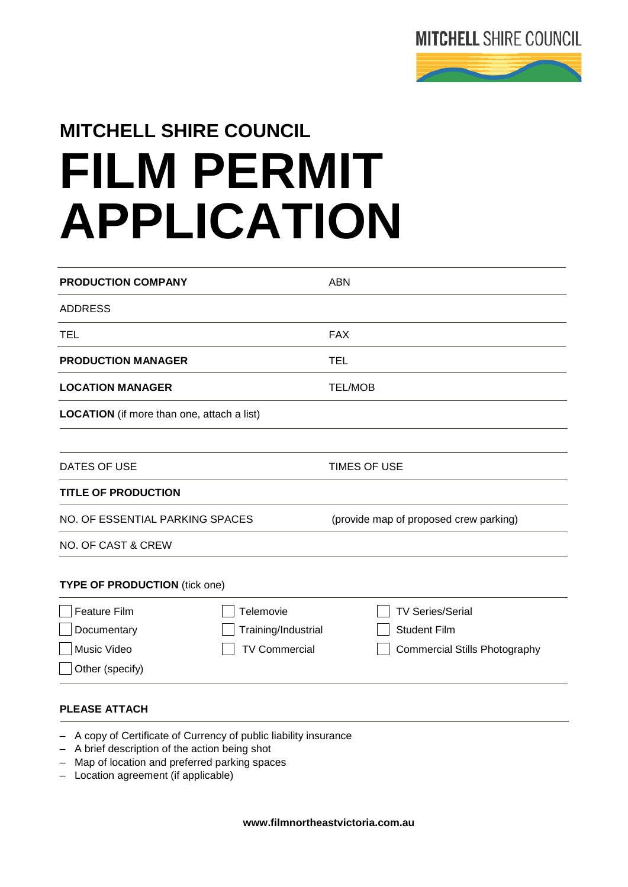

## **MITCHELL SHIRE COUNCIL FILM PERMIT APPLICATION**

| <b>PRODUCTION COMPANY</b>                         |                                                                 | <b>ABN</b>                             |
|---------------------------------------------------|-----------------------------------------------------------------|----------------------------------------|
| <b>ADDRESS</b>                                    |                                                                 |                                        |
| TEL                                               |                                                                 | <b>FAX</b>                             |
| <b>PRODUCTION MANAGER</b>                         |                                                                 | TEL                                    |
| <b>LOCATION MANAGER</b>                           |                                                                 | <b>TEL/MOB</b>                         |
| <b>LOCATION</b> (if more than one, attach a list) |                                                                 |                                        |
| DATES OF USE                                      |                                                                 | TIMES OF USE                           |
| <b>TITLE OF PRODUCTION</b>                        |                                                                 |                                        |
| NO. OF ESSENTIAL PARKING SPACES                   |                                                                 | (provide map of proposed crew parking) |
| <b>NO. OF CAST &amp; CREW</b>                     |                                                                 |                                        |
| <b>TYPE OF PRODUCTION (tick one)</b>              |                                                                 |                                        |
| <b>Feature Film</b>                               | Telemovie                                                       | <b>TV Series/Serial</b>                |
| Documentary                                       | Training/Industrial                                             | <b>Student Film</b>                    |
| Music Video                                       | <b>TV Commercial</b>                                            | <b>Commercial Stills Photography</b>   |
| Other (specify)                                   |                                                                 |                                        |
| <b>PLEASE ATTACH</b>                              |                                                                 |                                        |
|                                                   | A copy of Certificate of Currency of public liability insurance |                                        |

- A brief description of the action being shot
- Map of location and preferred parking spaces
- Location agreement (if applicable)